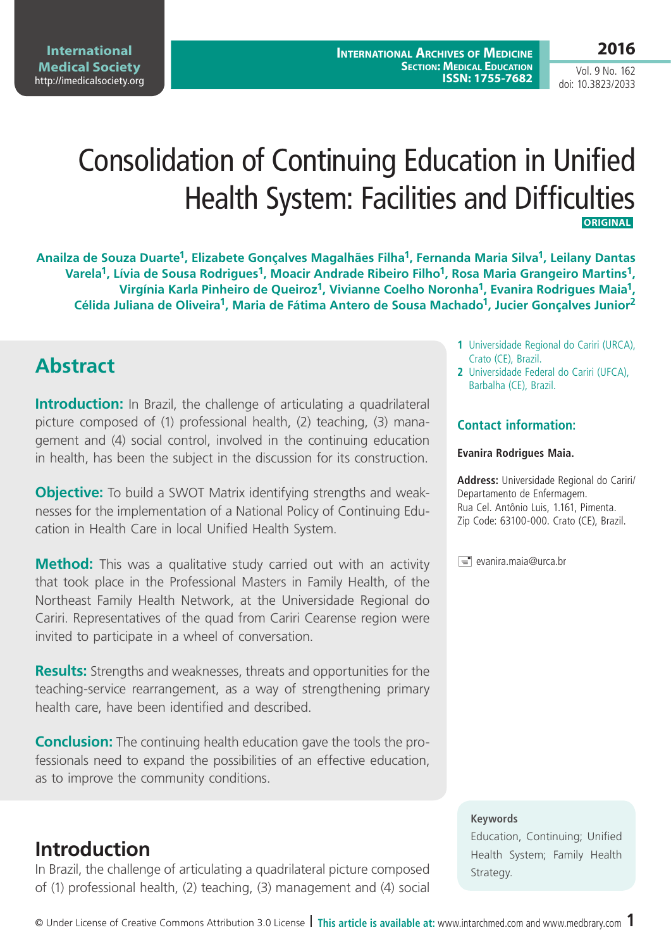Vol. 9 No. 162 doi: 10.3823/2033

# Consolidation of Continuing Education in Unified Health System: Facilities and Difficulties **ORIGINAL**

**Anailza de Souza Duarte1, Elizabete Gonçalves Magalhães Filha1, Fernanda Maria Silva1, Leilany Dantas**  Varela<sup>1</sup>, Lívia de Sousa Rodrigues<sup>1</sup>, Moacir Andrade Ribeiro Filho<sup>1</sup>, Rosa Maria Grangeiro Martins<sup>1</sup>, **Virgínia Karla Pinheiro de Queiroz1, Vivianne Coelho Noronha1, Evanira Rodrigues Maia1, Célida Juliana de Oliveira1, Maria de Fátima Antero de Sousa Machado1, Jucier Gonçalves Junior2**

### **Abstract**

**Introduction:** In Brazil, the challenge of articulating a quadrilateral picture composed of (1) professional health, (2) teaching, (3) management and (4) social control, involved in the continuing education in health, has been the subject in the discussion for its construction.

**Objective:** To build a SWOT Matrix identifying strengths and weaknesses for the implementation of a National Policy of Continuing Education in Health Care in local Unified Health System.

**Method:** This was a qualitative study carried out with an activity that took place in the Professional Masters in Family Health, of the Northeast Family Health Network, at the Universidade Regional do Cariri. Representatives of the quad from Cariri Cearense region were invited to participate in a wheel of conversation.

**Results:** Strengths and weaknesses, threats and opportunities for the teaching-service rearrangement, as a way of strengthening primary health care, have been identified and described.

**Conclusion:** The continuing health education gave the tools the professionals need to expand the possibilities of an effective education, as to improve the community conditions.

### **Introduction**

In Brazil, the challenge of articulating a quadrilateral picture composed of (1) professional health, (2) teaching, (3) management and (4) social

- **1** Universidade Regional do Cariri (URCA), Crato (CE), Brazil.
- **2** Universidade Federal do Cariri (UFCA), Barbalha (CE), Brazil.

#### **Contact information:**

#### **Evanira Rodrigues Maia.**

**Address:** Universidade Regional do Cariri/ Departamento de Enfermagem. Rua Cel. Antônio Luis, 1.161, Pimenta. Zip Code: 63100-000. Crato (CE), Brazil.

 $\equiv$  evanira.maia@urca.br

#### **Keywords**

Education, Continuing; Unified Health System; Family Health Strategy.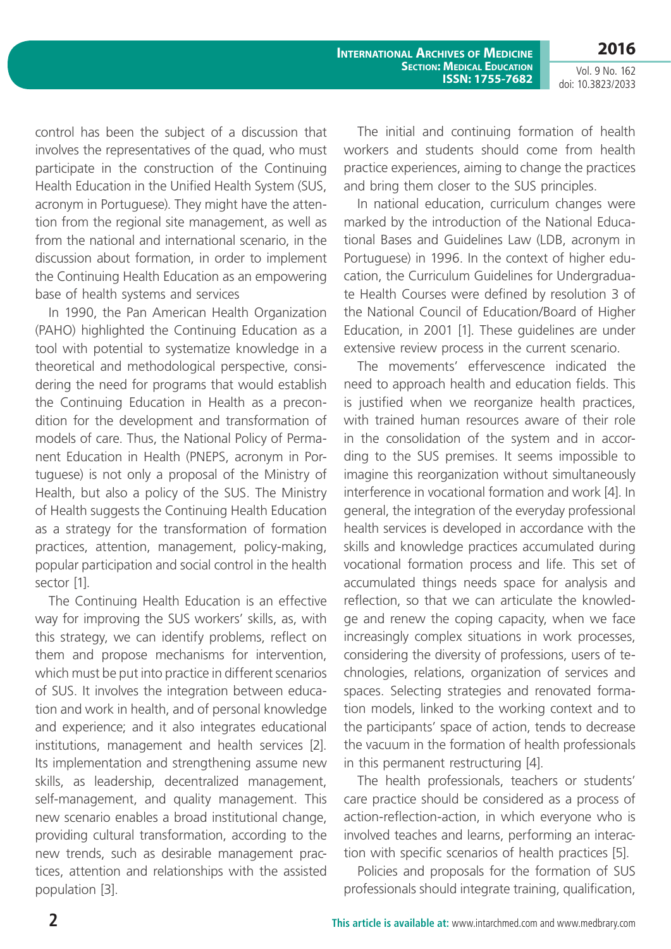Vol. 9 No. 162 doi: 10.3823/2033

control has been the subject of a discussion that involves the representatives of the quad, who must participate in the construction of the Continuing Health Education in the Unified Health System (SUS, acronym in Portuguese). They might have the attention from the regional site management, as well as from the national and international scenario, in the discussion about formation, in order to implement the Continuing Health Education as an empowering base of health systems and services

In 1990, the Pan American Health Organization (PAHO) highlighted the Continuing Education as a tool with potential to systematize knowledge in a theoretical and methodological perspective, considering the need for programs that would establish the Continuing Education in Health as a precondition for the development and transformation of models of care. Thus, the National Policy of Permanent Education in Health (PNEPS, acronym in Portuguese) is not only a proposal of the Ministry of Health, but also a policy of the SUS. The Ministry of Health suggests the Continuing Health Education as a strategy for the transformation of formation practices, attention, management, policy-making, popular participation and social control in the health sector [1].

The Continuing Health Education is an effective way for improving the SUS workers' skills, as, with this strategy, we can identify problems, reflect on them and propose mechanisms for intervention, which must be put into practice in different scenarios of SUS. It involves the integration between education and work in health, and of personal knowledge and experience; and it also integrates educational institutions, management and health services [2]. Its implementation and strengthening assume new skills, as leadership, decentralized management, self-management, and quality management. This new scenario enables a broad institutional change, providing cultural transformation, according to the new trends, such as desirable management practices, attention and relationships with the assisted population [3].

The initial and continuing formation of health workers and students should come from health practice experiences, aiming to change the practices and bring them closer to the SUS principles.

In national education, curriculum changes were marked by the introduction of the National Educational Bases and Guidelines Law (LDB, acronym in Portuguese) in 1996. In the context of higher education, the Curriculum Guidelines for Undergraduate Health Courses were defined by resolution 3 of the National Council of Education/Board of Higher Education, in 2001 [1]. These guidelines are under extensive review process in the current scenario.

The movements' effervescence indicated the need to approach health and education fields. This is justified when we reorganize health practices, with trained human resources aware of their role in the consolidation of the system and in according to the SUS premises. It seems impossible to imagine this reorganization without simultaneously interference in vocational formation and work [4]. In general, the integration of the everyday professional health services is developed in accordance with the skills and knowledge practices accumulated during vocational formation process and life. This set of accumulated things needs space for analysis and reflection, so that we can articulate the knowledge and renew the coping capacity, when we face increasingly complex situations in work processes, considering the diversity of professions, users of technologies, relations, organization of services and spaces. Selecting strategies and renovated formation models, linked to the working context and to the participants' space of action, tends to decrease the vacuum in the formation of health professionals in this permanent restructuring [4].

The health professionals, teachers or students' care practice should be considered as a process of action-reflection-action, in which everyone who is involved teaches and learns, performing an interaction with specific scenarios of health practices [5].

Policies and proposals for the formation of SUS professionals should integrate training, qualification,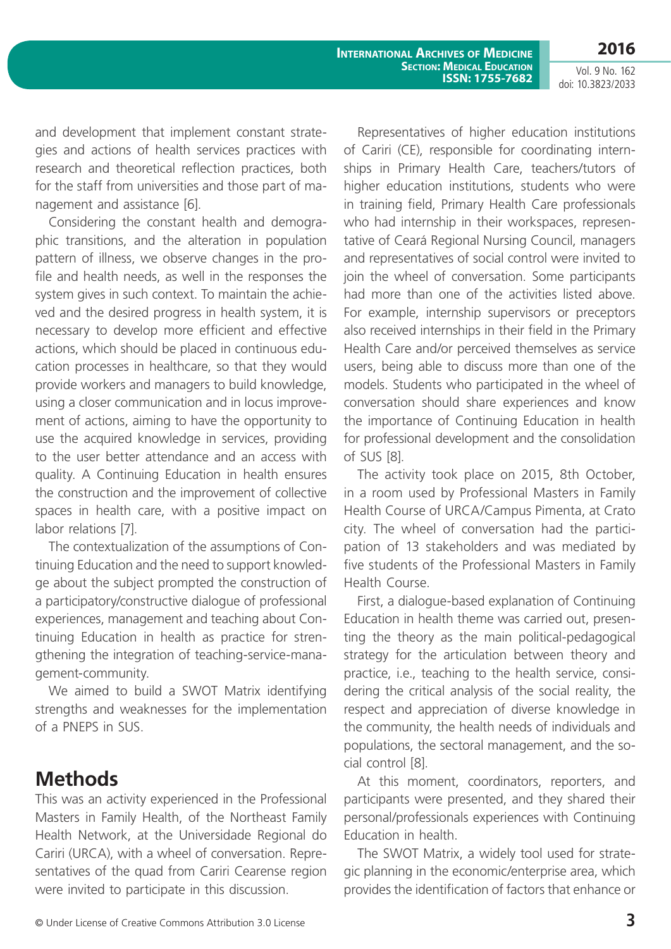Vol. 9 No. 162 doi: 10.3823/2033

and development that implement constant strategies and actions of health services practices with research and theoretical reflection practices, both for the staff from universities and those part of management and assistance [6].

Considering the constant health and demographic transitions, and the alteration in population pattern of illness, we observe changes in the profile and health needs, as well in the responses the system gives in such context. To maintain the achieved and the desired progress in health system, it is necessary to develop more efficient and effective actions, which should be placed in continuous education processes in healthcare, so that they would provide workers and managers to build knowledge, using a closer communication and in locus improvement of actions, aiming to have the opportunity to use the acquired knowledge in services, providing to the user better attendance and an access with quality. A Continuing Education in health ensures the construction and the improvement of collective spaces in health care, with a positive impact on labor relations [7].

The contextualization of the assumptions of Continuing Education and the need to support knowledge about the subject prompted the construction of a participatory/constructive dialogue of professional experiences, management and teaching about Continuing Education in health as practice for strengthening the integration of teaching-service-management-community.

We aimed to build a SWOT Matrix identifying strengths and weaknesses for the implementation of a PNEPS in SUS.

### **Methods**

This was an activity experienced in the Professional Masters in Family Health, of the Northeast Family Health Network, at the Universidade Regional do Cariri (URCA), with a wheel of conversation. Representatives of the quad from Cariri Cearense region were invited to participate in this discussion.

Representatives of higher education institutions of Cariri (CE), responsible for coordinating internships in Primary Health Care, teachers/tutors of higher education institutions, students who were in training field, Primary Health Care professionals who had internship in their workspaces, representative of Ceará Regional Nursing Council, managers and representatives of social control were invited to join the wheel of conversation. Some participants had more than one of the activities listed above. For example, internship supervisors or preceptors also received internships in their field in the Primary Health Care and/or perceived themselves as service users, being able to discuss more than one of the models. Students who participated in the wheel of conversation should share experiences and know the importance of Continuing Education in health for professional development and the consolidation of SUS [8].

The activity took place on 2015, 8th October, in a room used by Professional Masters in Family Health Course of URCA/Campus Pimenta, at Crato city. The wheel of conversation had the participation of 13 stakeholders and was mediated by five students of the Professional Masters in Family Health Course.

First, a dialogue-based explanation of Continuing Education in health theme was carried out, presenting the theory as the main political-pedagogical strategy for the articulation between theory and practice, i.e., teaching to the health service, considering the critical analysis of the social reality, the respect and appreciation of diverse knowledge in the community, the health needs of individuals and populations, the sectoral management, and the social control [8].

At this moment, coordinators, reporters, and participants were presented, and they shared their personal/professionals experiences with Continuing Education in health.

The SWOT Matrix, a widely tool used for strategic planning in the economic/enterprise area, which provides the identification of factors that enhance or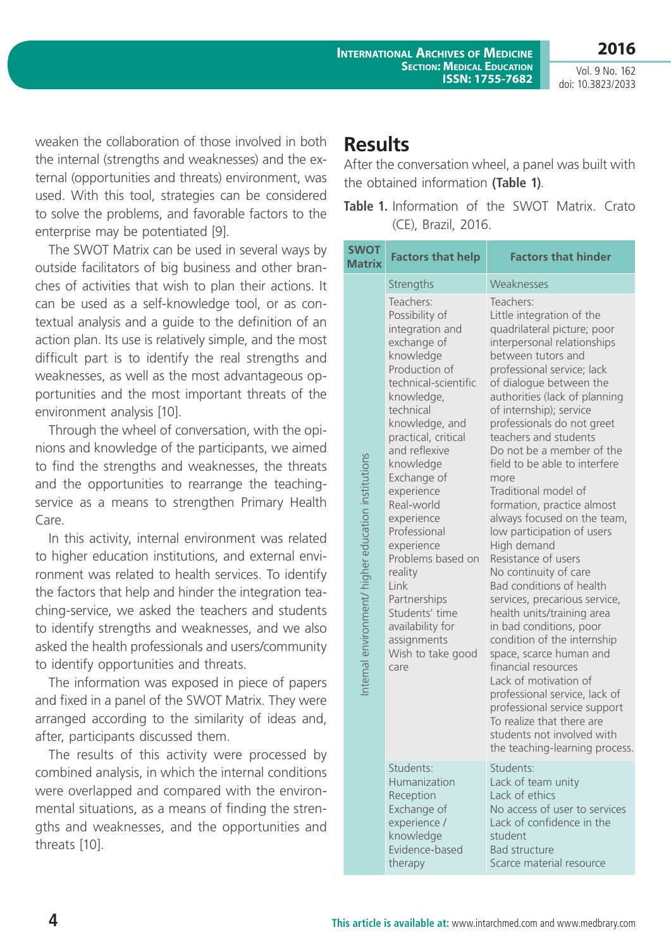**International Archives of Medicine SECTION: MEDICAL EDUCATION ISSN: 1755-7682**

Vol. 9 No. 162 doi: 10.3823/2033

**2016**

weaken the collaboration of those involved in both the internal (strengths and weaknesses) and the external (opportunities and threats) environment, was used. With this tool, strategies can be considered to solve the problems, and favorable factors to the enterprise may be potentiated [9].

The SWOT Matrix can be used in several ways by outside facilitators of big business and other branches of activities that wish to plan their actions. It can be used as a self-knowledge tool, or as contextual analysis and a guide to the definition of an action plan. Its use is relatively simple, and the most difficult part is to identify the real strengths and weaknesses, as well as the most advantageous opportunities and the most important threats of the environment analysis [10].

Through the wheel of conversation, with the opinions and knowledge of the participants, we aimed to find the strengths and weaknesses, the threats and the opportunities to rearrange the teachingservice as a means to strengthen Primary Health Care.

In this activity, internal environment was related to higher education institutions, and external environment was related to health services. To identify the factors that help and hinder the integration teaching-service, we asked the teachers and students to identify strengths and weaknesses, and we also asked the health professionals and users/community to identify opportunities and threats.

The information was exposed in piece of papers and fixed in a panel of the SWOT Matrix. They were arranged according to the similarity of ideas and, after, participants discussed them.

The results of this activity were processed by combined analysis, in which the internal conditions were overlapped and compared with the environmental situations, as a means of finding the strengths and weaknesses, and the opportunities and threats [10].

#### **Results**

After the conversation wheel, a panel was built with the obtained information **(Table 1)**.

| <b>SWOT</b>                                         | <b>Factors that help</b>                                                                                                                                                                                                                                                                                                                                                                                                                               | <b>Factors that hinder</b>                                                                                                                                                                                                                                                                                                                                                                                                                                                                                                                                                                                                                                                                                                                                                                                                                                                                                                                                   |
|-----------------------------------------------------|--------------------------------------------------------------------------------------------------------------------------------------------------------------------------------------------------------------------------------------------------------------------------------------------------------------------------------------------------------------------------------------------------------------------------------------------------------|--------------------------------------------------------------------------------------------------------------------------------------------------------------------------------------------------------------------------------------------------------------------------------------------------------------------------------------------------------------------------------------------------------------------------------------------------------------------------------------------------------------------------------------------------------------------------------------------------------------------------------------------------------------------------------------------------------------------------------------------------------------------------------------------------------------------------------------------------------------------------------------------------------------------------------------------------------------|
| <b>Matrix</b>                                       | Strengths                                                                                                                                                                                                                                                                                                                                                                                                                                              | Weaknesses                                                                                                                                                                                                                                                                                                                                                                                                                                                                                                                                                                                                                                                                                                                                                                                                                                                                                                                                                   |
| Internal environment/ higher education institutions | Teachers:<br>Possibility of<br>integration and<br>exchange of<br>knowledge<br>Production of<br>technical-scientific<br>knowledge,<br>technical<br>knowledge, and<br>practical, critical<br>and reflexive<br>knowledge<br>Exchange of<br>experience<br>Real-world<br>experience<br>Professional<br>experience<br>Problems based on<br>reality<br>Link<br>Partnerships<br>Students' time<br>availability for<br>assignments<br>Wish to take good<br>care | Teachers:<br>Little integration of the<br>quadrilateral picture; poor<br>interpersonal relationships<br>between tutors and<br>professional service; lack<br>of dialogue between the<br>authorities (lack of planning<br>of internship); service<br>professionals do not greet<br>teachers and students<br>Do not be a member of the<br>field to be able to interfere<br>more<br>Traditional model of<br>formation, practice almost<br>always focused on the team,<br>low participation of users<br>High demand<br>Resistance of users<br>No continuity of care<br>Bad conditions of health<br>services, precarious service,<br>health units/training area<br>in bad conditions, poor<br>condition of the internship<br>space, scarce human and<br>financial resources<br>Lack of motivation of<br>professional service, lack of<br>professional service support<br>To realize that there are<br>students not involved with<br>the teaching-learning process. |
|                                                     | Students:<br>Humanization<br>Reception<br>Exchange of<br>experience /<br>knowledge<br>Evidence-based<br>therapy                                                                                                                                                                                                                                                                                                                                        | Students:<br>Lack of team unity<br>Lack of ethics<br>No access of user to services<br>Lack of confidence in the<br>student<br><b>Bad structure</b><br>Scarce material resource                                                                                                                                                                                                                                                                                                                                                                                                                                                                                                                                                                                                                                                                                                                                                                               |

**Table 1.** Information of the SWOT Matrix. Crato (CE), Brazil, 2016.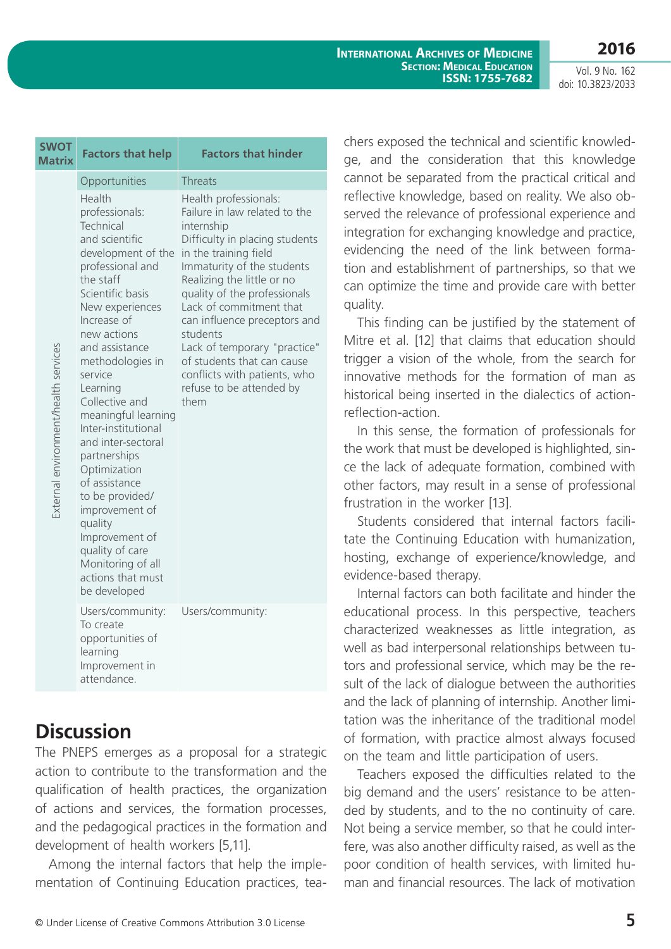**2016**

Vol. 9 No. 162 doi: 10.3823/2033

| <b>SWOT</b><br><b>Matrix</b>         | <b>Factors that help</b>                                                                                                                                                                                                                                                                                                                                                                                                                                                                                                               | <b>Factors that hinder</b>                                                                                                                                                                                                                                                                                                                                                                                                           |
|--------------------------------------|----------------------------------------------------------------------------------------------------------------------------------------------------------------------------------------------------------------------------------------------------------------------------------------------------------------------------------------------------------------------------------------------------------------------------------------------------------------------------------------------------------------------------------------|--------------------------------------------------------------------------------------------------------------------------------------------------------------------------------------------------------------------------------------------------------------------------------------------------------------------------------------------------------------------------------------------------------------------------------------|
|                                      | Opportunities                                                                                                                                                                                                                                                                                                                                                                                                                                                                                                                          | Threats                                                                                                                                                                                                                                                                                                                                                                                                                              |
| External environment/health services | Health<br>professionals:<br>Technical<br>and scientific<br>development of the<br>professional and<br>the staff<br>Scientific basis<br>New experiences<br>Increase of<br>new actions<br>and assistance<br>methodologies in<br>service<br>Learning<br>Collective and<br>meaningful learning<br>Inter-institutional<br>and inter-sectoral<br>partnerships<br>Optimization<br>of assistance<br>to be provided/<br>improvement of<br>quality<br>Improvement of<br>quality of care<br>Monitoring of all<br>actions that must<br>be developed | Health professionals:<br>Failure in law related to the<br>internship<br>Difficulty in placing students<br>in the training field<br>Immaturity of the students<br>Realizing the little or no<br>quality of the professionals<br>Lack of commitment that<br>can influence preceptors and<br>students<br>Lack of temporary "practice"<br>of students that can cause<br>conflicts with patients, who<br>refuse to be attended by<br>them |
|                                      | Users/community:<br>To create<br>opportunities of<br>learning<br>Improvement in                                                                                                                                                                                                                                                                                                                                                                                                                                                        | Users/community:                                                                                                                                                                                                                                                                                                                                                                                                                     |

## **Discussion**

attendance.

The PNEPS emerges as a proposal for a strategic action to contribute to the transformation and the qualification of health practices, the organization of actions and services, the formation processes, and the pedagogical practices in the formation and development of health workers [5,11].

Among the internal factors that help the implementation of Continuing Education practices, teachers exposed the technical and scientific knowledge, and the consideration that this knowledge cannot be separated from the practical critical and reflective knowledge, based on reality. We also observed the relevance of professional experience and integration for exchanging knowledge and practice, evidencing the need of the link between formation and establishment of partnerships, so that we can optimize the time and provide care with better quality.

This finding can be justified by the statement of Mitre et al. [12] that claims that education should trigger a vision of the whole, from the search for innovative methods for the formation of man as historical being inserted in the dialectics of actionreflection-action.

In this sense, the formation of professionals for the work that must be developed is highlighted, since the lack of adequate formation, combined with other factors, may result in a sense of professional frustration in the worker [13].

Students considered that internal factors facilitate the Continuing Education with humanization, hosting, exchange of experience/knowledge, and evidence-based therapy.

Internal factors can both facilitate and hinder the educational process. In this perspective, teachers characterized weaknesses as little integration, as well as bad interpersonal relationships between tutors and professional service, which may be the result of the lack of dialogue between the authorities and the lack of planning of internship. Another limitation was the inheritance of the traditional model of formation, with practice almost always focused on the team and little participation of users.

Teachers exposed the difficulties related to the big demand and the users' resistance to be attended by students, and to the no continuity of care. Not being a service member, so that he could interfere, was also another difficulty raised, as well as the poor condition of health services, with limited human and financial resources. The lack of motivation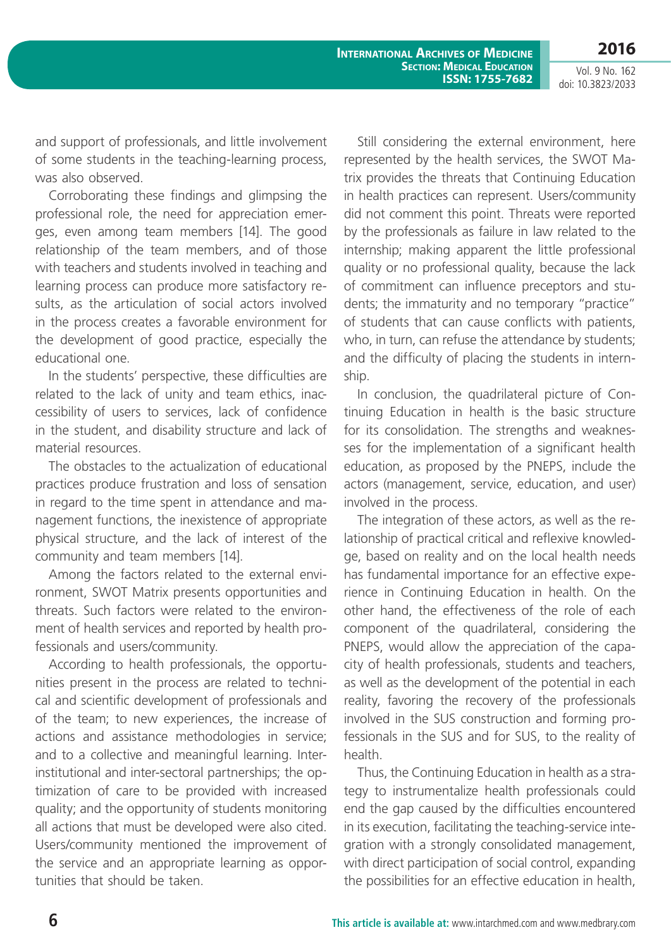**2016**

Vol. 9 No. 162 doi: 10.3823/2033

and support of professionals, and little involvement of some students in the teaching-learning process, was also observed.

Corroborating these findings and glimpsing the professional role, the need for appreciation emerges, even among team members [14]. The good relationship of the team members, and of those with teachers and students involved in teaching and learning process can produce more satisfactory results, as the articulation of social actors involved in the process creates a favorable environment for the development of good practice, especially the educational one.

In the students' perspective, these difficulties are related to the lack of unity and team ethics, inaccessibility of users to services, lack of confidence in the student, and disability structure and lack of material resources.

The obstacles to the actualization of educational practices produce frustration and loss of sensation in regard to the time spent in attendance and management functions, the inexistence of appropriate physical structure, and the lack of interest of the community and team members [14].

Among the factors related to the external environment, SWOT Matrix presents opportunities and threats. Such factors were related to the environment of health services and reported by health professionals and users/community.

According to health professionals, the opportunities present in the process are related to technical and scientific development of professionals and of the team; to new experiences, the increase of actions and assistance methodologies in service; and to a collective and meaningful learning. Interinstitutional and inter-sectoral partnerships; the optimization of care to be provided with increased quality; and the opportunity of students monitoring all actions that must be developed were also cited. Users/community mentioned the improvement of the service and an appropriate learning as opportunities that should be taken.

Still considering the external environment, here represented by the health services, the SWOT Matrix provides the threats that Continuing Education in health practices can represent. Users/community did not comment this point. Threats were reported by the professionals as failure in law related to the internship; making apparent the little professional quality or no professional quality, because the lack of commitment can influence preceptors and students; the immaturity and no temporary "practice" of students that can cause conflicts with patients, who, in turn, can refuse the attendance by students; and the difficulty of placing the students in internship.

In conclusion, the quadrilateral picture of Continuing Education in health is the basic structure for its consolidation. The strengths and weaknesses for the implementation of a significant health education, as proposed by the PNEPS, include the actors (management, service, education, and user) involved in the process.

The integration of these actors, as well as the relationship of practical critical and reflexive knowledge, based on reality and on the local health needs has fundamental importance for an effective experience in Continuing Education in health. On the other hand, the effectiveness of the role of each component of the quadrilateral, considering the PNEPS, would allow the appreciation of the capacity of health professionals, students and teachers, as well as the development of the potential in each reality, favoring the recovery of the professionals involved in the SUS construction and forming professionals in the SUS and for SUS, to the reality of health.

Thus, the Continuing Education in health as a strategy to instrumentalize health professionals could end the gap caused by the difficulties encountered in its execution, facilitating the teaching-service integration with a strongly consolidated management, with direct participation of social control, expanding the possibilities for an effective education in health,